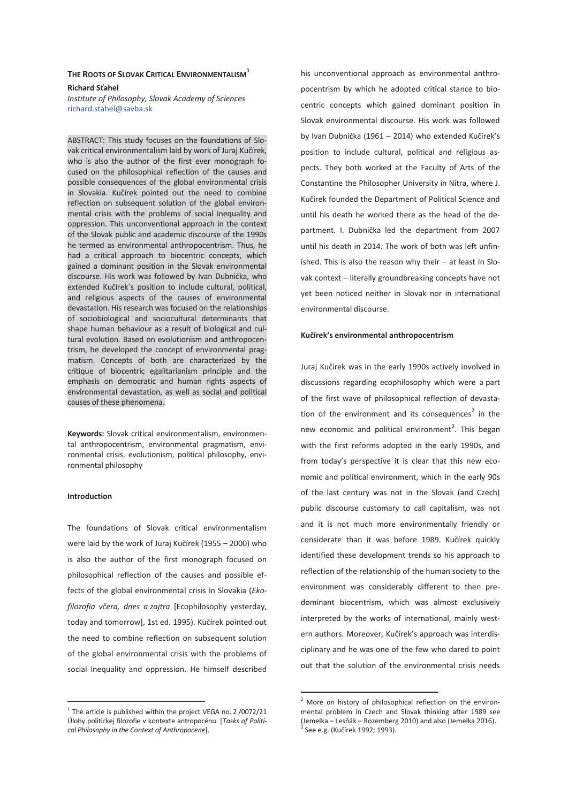# **THE ROOTS OF SLOVAK CRITICAL ENVIRONMENTALISM1 Richard Sťahel**

*Institute of Philosophy, Slovak Academy of Sciences*  richard.stahel@savba.sk

ABSTRACT: This study focuses on the foundations of Slovak critical environmentalism laid by work of Juraj Kučírek, who is also the author of the first ever monograph focused on the philosophical reflection of the causes and possible consequences of the global environmental crisis in Slovakia. Kučírek pointed out the need to combine reflection on subsequent solution of the global environmental crisis with the problems of social inequality and oppression. This unconventional approach in the context of the Slovak public and academic discourse of the 1990s he termed as environmental anthropocentrism. Thus, he had a critical approach to biocentric concepts, which gained a dominant position in the Slovak environmental discourse. His work was followed by Ivan Dubnička, who extended Kučírek´s position to include cultural, political, and religious aspects of the causes of environmental devastation. His research was focused on the relationships of sociobiological and sociocultural determinants that shape human behaviour as a result of biological and cultural evolution. Based on evolutionism and anthropocentrism, he developed the concept of environmental pragmatism. Concepts of both are characterized by the critique of biocentric egalitarianism principle and the emphasis on democratic and human rights aspects of environmental devastation, as well as social and political causes of these phenomena.

**Keywords:** Slovak critical environmentalism, environmental anthropocentrism, environmental pragmatism, environmental crisis, evolutionism, political philosophy, environmental philosophy

## **Introduction**

 $\overline{a}$ 

The foundations of Slovak critical environmentalism were laid by the work of Juraj Kučírek (1955 – 2000) who is also the author of the first monograph focused on philosophical reflection of the causes and possible effects of the global environmental crisis in Slovakia (*Ekofilozofia včera, dnes a zajtra* [Ecophilosophy yesterday, today and tomorrow], 1st ed. 1995). Kučírek pointed out the need to combine reflection on subsequent solution of the global environmental crisis with the problems of social inequality and oppression. He himself described his unconventional approach as environmental anthropocentrism by which he adopted critical stance to biocentric concepts which gained dominant position in Slovak environmental discourse. His work was followed by Ivan Dubnička (1961 – 2014) who extended Kučírek's position to include cultural, political and religious aspects. They both worked at the Faculty of Arts of the Constantine the Philosopher University in Nitra, where J. Kučírek founded the Department of Political Science and until his death he worked there as the head of the department. I. Dubnička led the department from 2007 until his death in 2014. The work of both was left unfinished. This is also the reason why their – at least in Slovak context – literally groundbreaking concepts have not yet been noticed neither in Slovak nor in international environmental discourse.

### **Kučírek's environmental anthropocentrism**

Juraj Kučírek was in the early 1990s actively involved in discussions regarding ecophilosophy which were a part of the first wave of philosophical reflection of devastation of the environment and its consequences<sup>2</sup> in the new economic and political environment<sup>3</sup>. This began with the first reforms adopted in the early 1990s, and from today's perspective it is clear that this new economic and political environment, which in the early 90s of the last century was not in the Slovak (and Czech) public discourse customary to call capitalism, was not and it is not much more environmentally friendly or considerate than it was before 1989. Kučírek quickly identified these development trends so his approach to reflection of the relationship of the human society to the environment was considerably different to then predominant biocentrism, which was almost exclusively interpreted by the works of international, mainly western authors. Moreover, Kučírek's approach was interdisciplinary and he was one of the few who dared to point out that the solution of the environmental crisis needs

 $1$  The article is published within the project VEGA no. 2 /0072/21 Úlohy politickej filozofie v kontexte antropocénu. [*Tasks of Political Philosophy in the Context of Anthropocene*].

<sup>2</sup> More on history of philosophical reflection on the environmental problem in Czech and Slovak thinking after 1989 see (Jemelka – Lesňák – Rozemberg 2010) and also (Jemelka 2016). 3 See e.g. (Kučírek 1992; 1993).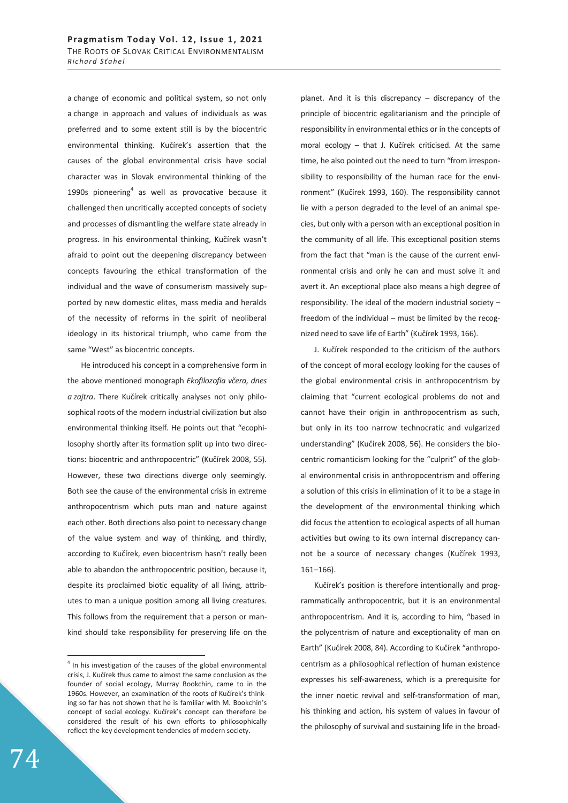a change of economic and political system, so not only a change in approach and values of individuals as was preferred and to some extent still is by the biocentric environmental thinking. Kučírek's assertion that the causes of the global environmental crisis have social character was in Slovak environmental thinking of the 1990s pioneering $4$  as well as provocative because it challenged then uncritically accepted concepts of society and processes of dismantling the welfare state already in progress. In his environmental thinking, Kučírek wasn't afraid to point out the deepening discrepancy between concepts favouring the ethical transformation of the individual and the wave of consumerism massively supported by new domestic elites, mass media and heralds of the necessity of reforms in the spirit of neoliberal ideology in its historical triumph, who came from the same "West" as biocentric concepts.

He introduced his concept in a comprehensive form in the above mentioned monograph *Ekofilozofia včera, dnes a zajtra*. There Kučírek critically analyses not only philosophical roots of the modern industrial civilization but also environmental thinking itself. He points out that "ecophilosophy shortly after its formation split up into two directions: biocentric and anthropocentric" (Kučírek 2008, 55). However, these two directions diverge only seemingly. Both see the cause of the environmental crisis in extreme anthropocentrism which puts man and nature against each other. Both directions also point to necessary change of the value system and way of thinking, and thirdly, according to Kučírek, even biocentrism hasn't really been able to abandon the anthropocentric position, because it, despite its proclaimed biotic equality of all living, attributes to man a unique position among all living creatures. This follows from the requirement that a person or mankind should take responsibility for preserving life on the

planet. And it is this discrepancy – discrepancy of the principle of biocentric egalitarianism and the principle of responsibility in environmental ethics or in the concepts of moral ecology – that J. Kučírek criticised. At the same time, he also pointed out the need to turn "from irresponsibility to responsibility of the human race for the environment" (Kučírek 1993, 160). The responsibility cannot lie with a person degraded to the level of an animal species, but only with a person with an exceptional position in the community of all life. This exceptional position stems from the fact that "man is the cause of the current environmental crisis and only he can and must solve it and avert it. An exceptional place also means a high degree of responsibility. The ideal of the modern industrial society – freedom of the individual – must be limited by the recognized need to save life of Earth" (Kučírek 1993, 166).

J. Kučírek responded to the criticism of the authors of the concept of moral ecology looking for the causes of the global environmental crisis in anthropocentrism by claiming that "current ecological problems do not and cannot have their origin in anthropocentrism as such, but only in its too narrow technocratic and vulgarized understanding" (Kučírek 2008, 56). He considers the biocentric romanticism looking for the "culprit" of the global environmental crisis in anthropocentrism and offering a solution of this crisis in elimination of it to be a stage in the development of the environmental thinking which did focus the attention to ecological aspects of all human activities but owing to its own internal discrepancy cannot be a source of necessary changes (Kučírek 1993, 161–166).

Kučírek's position is therefore intentionally and programmatically anthropocentric, but it is an environmental anthropocentrism. And it is, according to him, "based in the polycentrism of nature and exceptionality of man on Earth" (Kučírek 2008, 84). According to Kučírek "anthropocentrism as a philosophical reflection of human existence expresses his self-awareness, which is a prerequisite for the inner noetic revival and self-transformation of man, his thinking and action, his system of values in favour of the philosophy of survival and sustaining life in the broad-

 $\overline{a}$ 

 $4$  In his investigation of the causes of the global environmental crisis, J. Kučírek thus came to almost the same conclusion as the founder of social ecology, Murray Bookchin, came to in the 1960s. However, an examination of the roots of Kučírek's thinking so far has not shown that he is familiar with M. Bookchin's concept of social ecology. Kučírek's concept can therefore be considered the result of his own efforts to philosophically reflect the key development tendencies of modern society.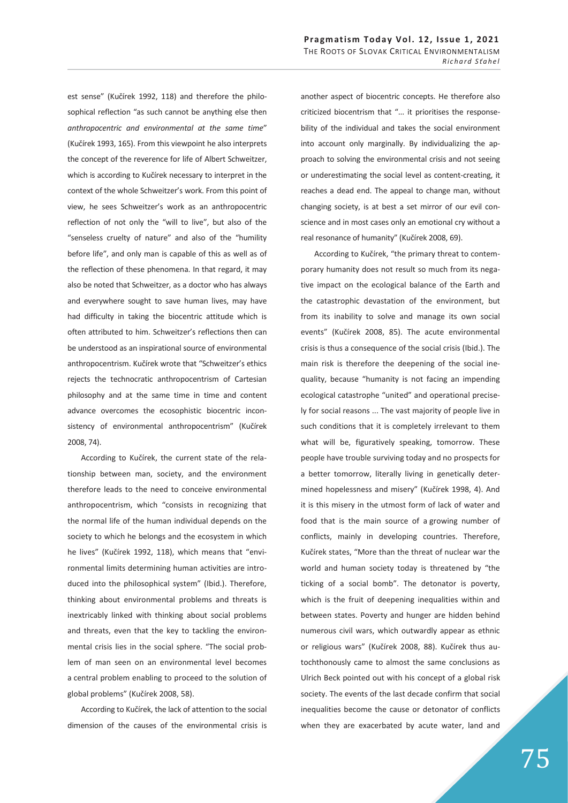est sense" (Kučírek 1992, 118) and therefore the philosophical reflection "as such cannot be anything else then *anthropocentric and environmental at the same time*" (Kučírek 1993, 165). From this viewpoint he also interprets the concept of the reverence for life of Albert Schweitzer, which is according to Kučírek necessary to interpret in the context of the whole Schweitzer's work. From this point of view, he sees Schweitzer's work as an anthropocentric reflection of not only the "will to live", but also of the "senseless cruelty of nature" and also of the "humility before life", and only man is capable of this as well as of the reflection of these phenomena. In that regard, it may also be noted that Schweitzer, as a doctor who has always and everywhere sought to save human lives, may have had difficulty in taking the biocentric attitude which is often attributed to him. Schweitzer's reflections then can be understood as an inspirational source of environmental anthropocentrism. Kučírek wrote that "Schweitzer's ethics rejects the technocratic anthropocentrism of Cartesian philosophy and at the same time in time and content advance overcomes the ecosophistic biocentric inconsistency of environmental anthropocentrism" (Kučírek 2008, 74).

According to Kučírek, the current state of the relationship between man, society, and the environment therefore leads to the need to conceive environmental anthropocentrism, which "consists in recognizing that the normal life of the human individual depends on the society to which he belongs and the ecosystem in which he lives" (Kučírek 1992, 118), which means that "environmental limits determining human activities are introduced into the philosophical system" (Ibid.). Therefore, thinking about environmental problems and threats is inextricably linked with thinking about social problems and threats, even that the key to tackling the environmental crisis lies in the social sphere. "The social problem of man seen on an environmental level becomes a central problem enabling to proceed to the solution of global problems" (Kučírek 2008, 58).

According to Kučírek, the lack of attention to the social dimension of the causes of the environmental crisis is

another aspect of biocentric concepts. He therefore also criticized biocentrism that "... it prioritises the responsebility of the individual and takes the social environment into account only marginally. By individualizing the approach to solving the environmental crisis and not seeing or underestimating the social level as content-creating, it reaches a dead end. The appeal to change man, without changing society, is at best a set mirror of our evil conscience and in most cases only an emotional cry without a real resonance of humanity" (Kučírek 2008, 69).

According to Kučírek, "the primary threat to contemporary humanity does not result so much from its negative impact on the ecological balance of the Earth and the catastrophic devastation of the environment, but from its inability to solve and manage its own social events" (Kučírek 2008, 85). The acute environmental crisis is thus a consequence of the social crisis (Ibid.). The main risk is therefore the deepening of the social inequality, because "humanity is not facing an impending ecological catastrophe "united" and operational precisely for social reasons ... The vast majority of people live in such conditions that it is completely irrelevant to them what will be, figuratively speaking, tomorrow. These people have trouble surviving today and no prospects for a better tomorrow, literally living in genetically determined hopelessness and misery" (Kučírek 1998, 4). And it is this misery in the utmost form of lack of water and food that is the main source of a growing number of conflicts, mainly in developing countries. Therefore, Kučírek states, "More than the threat of nuclear war the world and human society today is threatened by "the ticking of a social bomb". The detonator is poverty, which is the fruit of deepening inequalities within and between states. Poverty and hunger are hidden behind numerous civil wars, which outwardly appear as ethnic or religious wars" (Kučírek 2008, 88). Kučírek thus autochthonously came to almost the same conclusions as Ulrich Beck pointed out with his concept of a global risk society. The events of the last decade confirm that social inequalities become the cause or detonator of conflicts when they are exacerbated by acute water, land and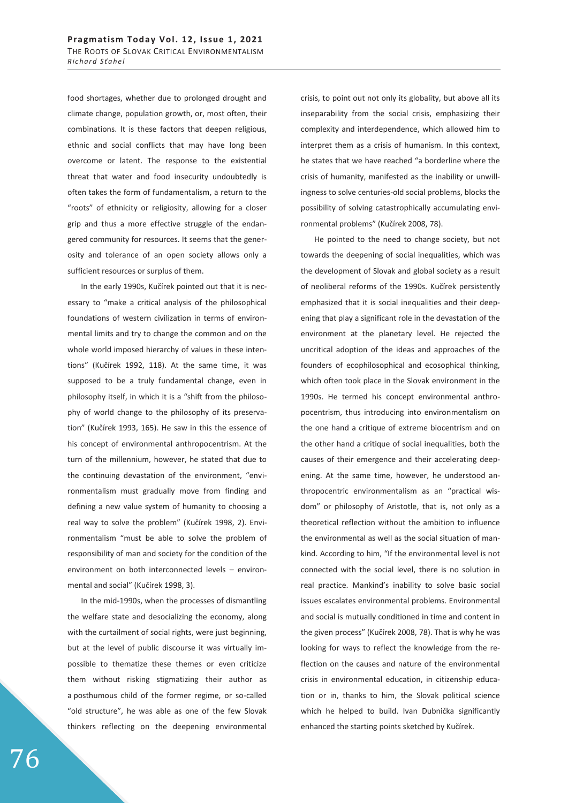food shortages, whether due to prolonged drought and climate change, population growth, or, most often, their combinations. It is these factors that deepen religious, ethnic and social conflicts that may have long been overcome or latent. The response to the existential threat that water and food insecurity undoubtedly is often takes the form of fundamentalism, a return to the "roots" of ethnicity or religiosity, allowing for a closer grip and thus a more effective struggle of the endangered community for resources. It seems that the generosity and tolerance of an open society allows only a sufficient resources or surplus of them.

In the early 1990s, Kučírek pointed out that it is necessary to "make a critical analysis of the philosophical foundations of western civilization in terms of environmental limits and try to change the common and on the whole world imposed hierarchy of values in these intentions" (Kučírek 1992, 118). At the same time, it was supposed to be a truly fundamental change, even in philosophy itself, in which it is a "shift from the philosophy of world change to the philosophy of its preservation" (Kučírek 1993, 165). He saw in this the essence of his concept of environmental anthropocentrism. At the turn of the millennium, however, he stated that due to the continuing devastation of the environment, "environmentalism must gradually move from finding and defining a new value system of humanity to choosing a real way to solve the problem" (Kučírek 1998, 2). Environmentalism "must be able to solve the problem of responsibility of man and society for the condition of the environment on both interconnected levels – environmental and social" (Kučírek 1998, 3).

In the mid-1990s, when the processes of dismantling the welfare state and desocializing the economy, along with the curtailment of social rights, were just beginning. but at the level of public discourse it was virtually impossible to thematize these themes or even criticize them without risking stigmatizing their author as a posthumous child of the former regime, or so-called "old structure", he was able as one of the few Slovak thinkers reflecting on the deepening environmental crisis, to point out not only its globality, but above all its inseparability from the social crisis, emphasizing their complexity and interdependence, which allowed him to interpret them as a crisis of humanism. In this context, he states that we have reached "a borderline where the crisis of humanity, manifested as the inability or unwillingness to solve centuries-old social problems, blocks the possibility of solving catastrophically accumulating environmental problems" (Kučírek 2008, 78).

He pointed to the need to change society, but not towards the deepening of social inequalities, which was the development of Slovak and global society as a result of neoliberal reforms of the 1990s. Kučírek persistently emphasized that it is social inequalities and their deepening that play a significant role in the devastation of the environment at the planetary level. He rejected the uncritical adoption of the ideas and approaches of the founders of ecophilosophical and ecosophical thinking, which often took place in the Slovak environment in the 1990s. He termed his concept environmental anthropocentrism, thus introducing into environmentalism on the one hand a critique of extreme biocentrism and on the other hand a critique of social inequalities, both the causes of their emergence and their accelerating deepening. At the same time, however, he understood anthropocentric environmentalism as an "practical wisdom" or philosophy of Aristotle, that is, not only as a theoretical reflection without the ambition to influence the environmental as well as the social situation of mankind. According to him, "If the environmental level is not connected with the social level, there is no solution in real practice. Mankind's inability to solve basic social issues escalates environmental problems. Environmental and social is mutually conditioned in time and content in the given process" (Kučírek 2008, 78). That is why he was looking for ways to reflect the knowledge from the reflection on the causes and nature of the environmental crisis in environmental education, in citizenship education or in, thanks to him, the Slovak political science which he helped to build. Ivan Dubnička significantly enhanced the starting points sketched by Kučírek.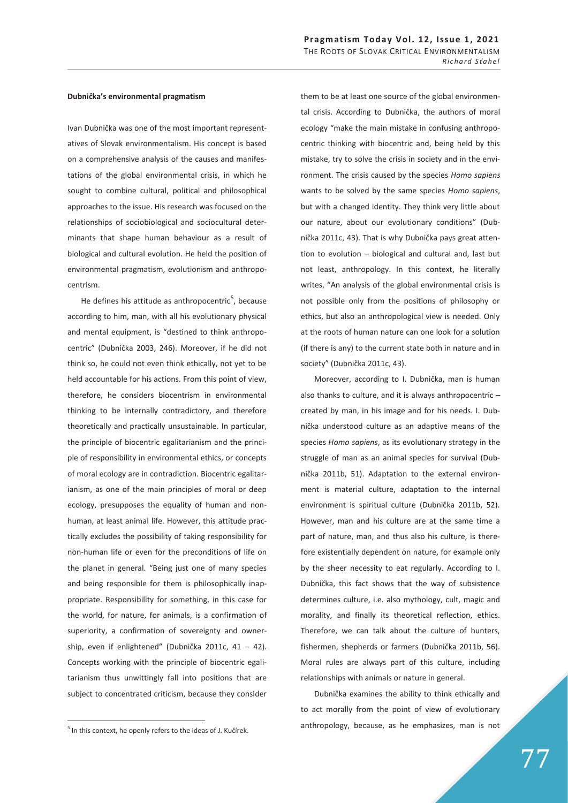### **Dubnička's environmental pragmatism**

Ivan Dubnička was one of the most important representatives of Slovak environmentalism. His concept is based on a comprehensive analysis of the causes and manifestations of the global environmental crisis, in which he sought to combine cultural, political and philosophical approaches to the issue. His research was focused on the relationships of sociobiological and sociocultural determinants that shape human behaviour as a result of biological and cultural evolution. He held the position of environmental pragmatism, evolutionism and anthropocentrism.

He defines his attitude as anthropocentric $5$ , because according to him, man, with all his evolutionary physical and mental equipment, is "destined to think anthropocentric" (Dubnička 2003, 246). Moreover, if he did not think so, he could not even think ethically, not yet to be held accountable for his actions. From this point of view, therefore, he considers biocentrism in environmental thinking to be internally contradictory, and therefore theoretically and practically unsustainable. In particular, the principle of biocentric egalitarianism and the principle of responsibility in environmental ethics, or concepts of moral ecology are in contradiction. Biocentric egalitarianism, as one of the main principles of moral or deep ecology, presupposes the equality of human and nonhuman, at least animal life. However, this attitude practically excludes the possibility of taking responsibility for non-human life or even for the preconditions of life on the planet in general. "Being just one of many species and being responsible for them is philosophically inappropriate. Responsibility for something, in this case for the world, for nature, for animals, is a confirmation of superiority, a confirmation of sovereignty and ownership, even if enlightened" (Dubnička 2011c, 41 - 42). Concepts working with the principle of biocentric egalitarianism thus unwittingly fall into positions that are subject to concentrated criticism, because they consider

-

them to be at least one source of the global environmental crisis. According to Dubnička, the authors of moral ecology "make the main mistake in confusing anthropocentric thinking with biocentric and, being held by this mistake, try to solve the crisis in society and in the environment. The crisis caused by the species *Homo sapiens* wants to be solved by the same species *Homo sapiens*, but with a changed identity. They think very little about our nature, about our evolutionary conditions" (Dubnička 2011c, 43). That is why Dubnička pays great attention to evolution – biological and cultural and, last but not least, anthropology. In this context, he literally writes, "An analysis of the global environmental crisis is not possible only from the positions of philosophy or ethics, but also an anthropological view is needed. Only at the roots of human nature can one look for a solution (if there is any) to the current state both in nature and in society" (Dubnička 2011c, 43).

Moreover, according to I. Dubnička, man is human also thanks to culture, and it is always anthropocentric – created by man, in his image and for his needs. I. Dubnička understood culture as an adaptive means of the species *Homo sapiens*, as its evolutionary strategy in the struggle of man as an animal species for survival (Dubnička 2011b, 51). Adaptation to the external environment is material culture, adaptation to the internal environment is spiritual culture (Dubnička 2011b, 52). However, man and his culture are at the same time a part of nature, man, and thus also his culture, is therefore existentially dependent on nature, for example only by the sheer necessity to eat regularly. According to I. Dubnička, this fact shows that the way of subsistence determines culture, i.e. also mythology, cult, magic and morality, and finally its theoretical reflection, ethics. Therefore, we can talk about the culture of hunters, fishermen, shepherds or farmers (Dubnička 2011b, 56). Moral rules are always part of this culture, including relationships with animals or nature in general.

Dubnička examines the ability to think ethically and to act morally from the point of view of evolutionary anthropology, because, as he emphasizes, man is not

<sup>&</sup>lt;sup>5</sup> In this context, he openly refers to the ideas of J. Kučírek.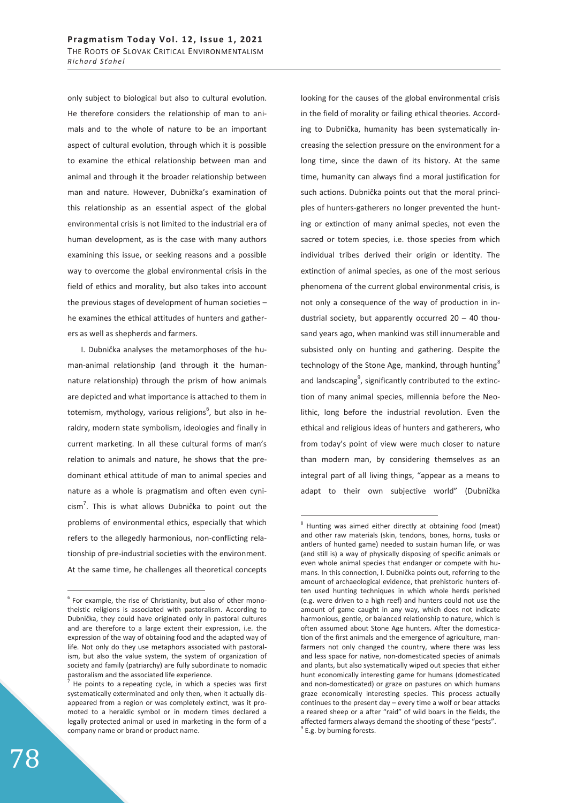only subject to biological but also to cultural evolution. He therefore considers the relationship of man to animals and to the whole of nature to be an important aspect of cultural evolution, through which it is possible to examine the ethical relationship between man and animal and through it the broader relationship between man and nature. However, Dubnička's examination of this relationship as an essential aspect of the global environmental crisis is not limited to the industrial era of human development, as is the case with many authors examining this issue, or seeking reasons and a possible way to overcome the global environmental crisis in the field of ethics and morality, but also takes into account the previous stages of development of human societies – he examines the ethical attitudes of hunters and gatherers as well as shepherds and farmers.

I. Dubnička analyses the metamorphoses of the human-animal relationship (and through it the humannature relationship) through the prism of how animals are depicted and what importance is attached to them in totemism, mythology, various religions<sup>6</sup>, but also in heraldry, modern state symbolism, ideologies and finally in current marketing. In all these cultural forms of man's relation to animals and nature, he shows that the predominant ethical attitude of man to animal species and nature as a whole is pragmatism and often even cynicism<sup>7</sup>. This is what allows Dubnička to point out the problems of environmental ethics, especially that which refers to the allegedly harmonious, non-conflicting relationship of pre-industrial societies with the environment. At the same time, he challenges all theoretical concepts looking for the causes of the global environmental crisis in the field of morality or failing ethical theories. According to Dubnička, humanity has been systematically increasing the selection pressure on the environment for a long time, since the dawn of its history. At the same time, humanity can always find a moral justification for such actions. Dubnička points out that the moral principles of hunters-gatherers no longer prevented the hunting or extinction of many animal species, not even the sacred or totem species, i.e. those species from which individual tribes derived their origin or identity. The extinction of animal species, as one of the most serious phenomena of the current global environmental crisis, is not only a consequence of the way of production in industrial society, but apparently occurred  $20 - 40$  thousand years ago, when mankind was still innumerable and subsisted only on hunting and gathering. Despite the technology of the Stone Age, mankind, through hunting<sup>8</sup> and landscaping<sup>9</sup>, significantly contributed to the extinction of many animal species, millennia before the Neolithic, long before the industrial revolution. Even the ethical and religious ideas of hunters and gatherers, who from today's point of view were much closer to nature than modern man, by considering themselves as an integral part of all living things, "appear as a means to adapt to their own subjective world" (Dubnička

-

 $6$  For example, the rise of Christianity, but also of other monotheistic religions is associated with pastoralism. According to Dubnička, they could have originated only in pastoral cultures and are therefore to a large extent their expression, i.e. the expression of the way of obtaining food and the adapted way of life. Not only do they use metaphors associated with pastoralism, but also the value system, the system of organization of society and family (patriarchy) are fully subordinate to nomadic pastoralism and the associated life experience. 7

He points to a repeating cycle, in which a species was first systematically exterminated and only then, when it actually disappeared from a region or was completely extinct, was it promoted to a heraldic symbol or in modern times declared a legally protected animal or used in marketing in the form of a company name or brand or product name.

<sup>8</sup> Hunting was aimed either directly at obtaining food (meat) and other raw materials (skin, tendons, bones, horns, tusks or antlers of hunted game) needed to sustain human life, or was (and still is) a way of physically disposing of specific animals or even whole animal species that endanger or compete with humans. In this connection, I. Dubnička points out, referring to the amount of archaeological evidence, that prehistoric hunters often used hunting techniques in which whole herds perished (e.g. were driven to a high reef) and hunters could not use the amount of game caught in any way, which does not indicate harmonious, gentle, or balanced relationship to nature, which is often assumed about Stone Age hunters. After the domestication of the first animals and the emergence of agriculture, manfarmers not only changed the country, where there was less and less space for native, non-domesticated species of animals and plants, but also systematically wiped out species that either hunt economically interesting game for humans (domesticated and non-domesticated) or graze on pastures on which humans graze economically interesting species. This process actually continues to the present day – every time a wolf or bear attacks a reared sheep or a after "raid" of wild boars in the fields, the affected farmers always demand the shooting of these "pests". 9 E.g. by burning forests.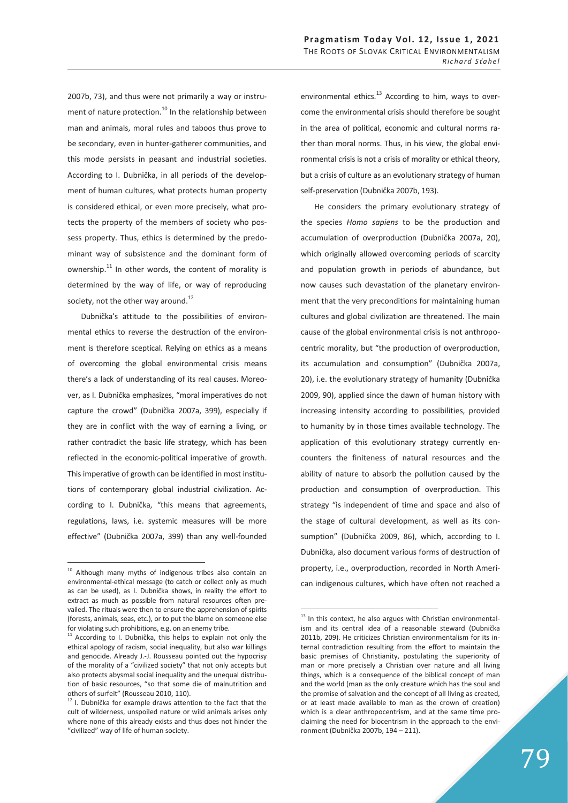2007b, 73), and thus were not primarily a way or instrument of nature protection.<sup>10</sup> In the relationship between man and animals, moral rules and taboos thus prove to be secondary, even in hunter-gatherer communities, and this mode persists in peasant and industrial societies. According to I. Dubnička, in all periods of the development of human cultures, what protects human property is considered ethical, or even more precisely, what protects the property of the members of society who possess property. Thus, ethics is determined by the predominant way of subsistence and the dominant form of ownership. $^{11}$  In other words, the content of morality is determined by the way of life, or way of reproducing society, not the other way around. $^{12}$ 

Dubnička's attitude to the possibilities of environmental ethics to reverse the destruction of the environment is therefore sceptical. Relying on ethics as a means of overcoming the global environmental crisis means there's a lack of understanding of its real causes. Moreover, as I. Dubnička emphasizes, "moral imperatives do not capture the crowd" (Dubnička 2007a, 399), especially if they are in conflict with the way of earning a living, or rather contradict the basic life strategy, which has been reflected in the economic-political imperative of growth. This imperative of growth can be identified in most institutions of contemporary global industrial civilization. According to I. Dubnička, "this means that agreements, regulations, laws, i.e. systemic measures will be more effective" (Dubnička 2007a, 399) than any well-founded

-

environmental ethics. $^{13}$  According to him, ways to overcome the environmental crisis should therefore be sought in the area of political, economic and cultural norms rather than moral norms. Thus, in his view, the global environmental crisis is not a crisis of morality or ethical theory, but a crisis of culture as an evolutionary strategy of human self-preservation (Dubnička 2007b, 193).

He considers the primary evolutionary strategy of the species *Homo sapiens* to be the production and accumulation of overproduction (Dubnička 2007a, 20), which originally allowed overcoming periods of scarcity and population growth in periods of abundance, but now causes such devastation of the planetary environment that the very preconditions for maintaining human cultures and global civilization are threatened. The main cause of the global environmental crisis is not anthropocentric morality, but "the production of overproduction, its accumulation and consumption" (Dubnička 2007a, 20), i.e. the evolutionary strategy of humanity (Dubnička 2009, 90), applied since the dawn of human history with increasing intensity according to possibilities, provided to humanity by in those times available technology. The application of this evolutionary strategy currently encounters the finiteness of natural resources and the ability of nature to absorb the pollution caused by the production and consumption of overproduction. This strategy "is independent of time and space and also of the stage of cultural development, as well as its consumption" (Dubnička 2009, 86), which, according to I. Dubnička, also document various forms of destruction of property, i.e., overproduction, recorded in North American indigenous cultures, which have often not reached a

<sup>&</sup>lt;sup>10</sup> Although many myths of indigenous tribes also contain an environmental-ethical message (to catch or collect only as much as can be used), as I. Dubnička shows, in reality the effort to extract as much as possible from natural resources often prevailed. The rituals were then to ensure the apprehension of spirits (forests, animals, seas, etc.), or to put the blame on someone else for violating such prohibitions, e.g. on an enemy tribe.

 $11$  According to I. Dubnička, this helps to explain not only the ethical apology of racism, social inequality, but also war killings and genocide. Already J.-J. Rousseau pointed out the hypocrisy of the morality of a "civilized society" that not only accepts but also protects abysmal social inequality and the unequal distribution of basic resources, "so that some die of malnutrition and others of surfeit" (Rousseau 2010, 110).

 $2<sup>2</sup>$  I. Dubnička for example draws attention to the fact that the cult of wilderness, unspoiled nature or wild animals arises only where none of this already exists and thus does not hinder the "civilized" way of life of human society.

 $13$  In this context, he also argues with Christian environmentalism and its central idea of a reasonable steward (Dubnička 2011b, 209). He criticizes Christian environmentalism for its internal contradiction resulting from the effort to maintain the basic premises of Christianity, postulating the superiority of man or more precisely a Christian over nature and all living things, which is a consequence of the biblical concept of man and the world (man as the only creature which has the soul and the promise of salvation and the concept of all living as created, or at least made available to man as the crown of creation) which is a clear anthropocentrism, and at the same time proclaiming the need for biocentrism in the approach to the environment (Dubnička 2007b, 194 – 211).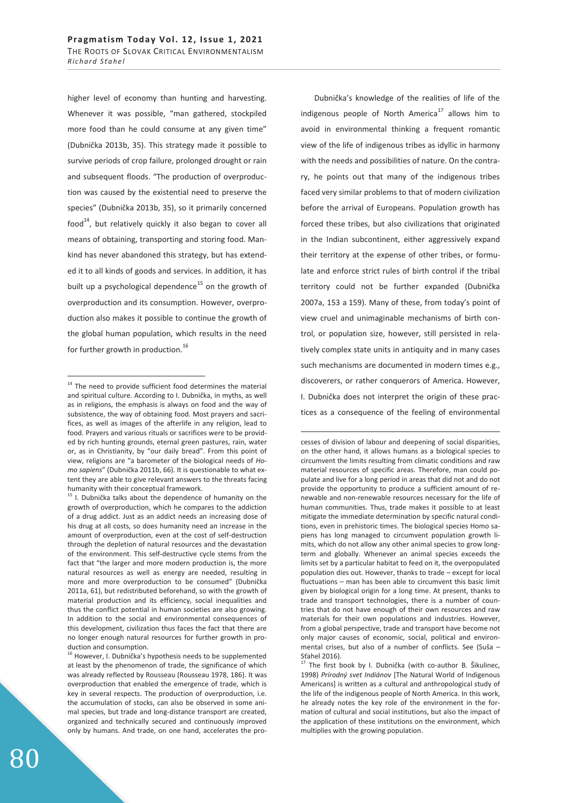higher level of economy than hunting and harvesting. Whenever it was possible, "man gathered, stockpiled more food than he could consume at any given time" (Dubnička 2013b, 35). This strategy made it possible to survive periods of crop failure, prolonged drought or rain and subsequent floods. "The production of overproduction was caused by the existential need to preserve the species" (Dubnička 2013b, 35), so it primarily concerned food $^{14}$ , but relatively quickly it also began to cover all means of obtaining, transporting and storing food. Mankind has never abandoned this strategy, but has extended it to all kinds of goods and services. In addition, it has built up a psychological dependence $^{15}$  on the growth of overproduction and its consumption. However, overproduction also makes it possible to continue the growth of the global human population, which results in the need for further growth in production.<sup>16</sup>

-

<sup>16</sup> However, I. Dubnička's hypothesis needs to be supplemented at least by the phenomenon of trade, the significance of which was already reflected by Rousseau (Rousseau 1978, 186). It was overproduction that enabled the emergence of trade, which is key in several respects. The production of overproduction, i.e. the accumulation of stocks, can also be observed in some animal species, but trade and long-distance transport are created, organized and technically secured and continuously improved only by humans. And trade, on one hand, accelerates the pro-

Dubnička's knowledge of the realities of life of the indigenous people of North America $17$  allows him to avoid in environmental thinking a frequent romantic view of the life of indigenous tribes as idyllic in harmony with the needs and possibilities of nature. On the contrary, he points out that many of the indigenous tribes faced very similar problems to that of modern civilization before the arrival of Europeans. Population growth has forced these tribes, but also civilizations that originated in the Indian subcontinent, either aggressively expand their territory at the expense of other tribes, or formulate and enforce strict rules of birth control if the tribal territory could not be further expanded (Dubnička 2007a, 153 a 159). Many of these, from today's point of view cruel and unimaginable mechanisms of birth control, or population size, however, still persisted in relatively complex state units in antiquity and in many cases such mechanisms are documented in modern times e.g., discoverers, or rather conquerors of America. However, I. Dubnička does not interpret the origin of these practices as a consequence of the feeling of environmental

 $14$  The need to provide sufficient food determines the material and spiritual culture. According to I. Dubnička, in myths, as well as in religions, the emphasis is always on food and the way of subsistence, the way of obtaining food. Most prayers and sacrifices, as well as images of the afterlife in any religion, lead to food. Prayers and various rituals or sacrifices were to be provided by rich hunting grounds, eternal green pastures, rain, water or, as in Christianity, by "our daily bread". From this point of view, religions are "a barometer of the biological needs of *Homo sapiens*" (Dubnička 2011b, 66). It is questionable to what extent they are able to give relevant answers to the threats facing humanity with their conceptual framework.

 $15$  I. Dubnička talks about the dependence of humanity on the growth of overproduction, which he compares to the addiction of a drug addict. Just as an addict needs an increasing dose of his drug at all costs, so does humanity need an increase in the amount of overproduction, even at the cost of self-destruction through the depletion of natural resources and the devastation of the environment. This self-destructive cycle stems from the fact that "the larger and more modern production is, the more natural resources as well as energy are needed, resulting in more and more overproduction to be consumed" (Dubnička 2011a, 61), but redistributed beforehand, so with the growth of material production and its efficiency, social inequalities and thus the conflict potential in human societies are also growing. In addition to the social and environmental consequences of this development, civilization thus faces the fact that there are no longer enough natural resources for further growth in production and consumption.

cesses of division of labour and deepening of social disparities, on the other hand, it allows humans as a biological species to circumvent the limits resulting from climatic conditions and raw material resources of specific areas. Therefore, man could populate and live for a long period in areas that did not and do not provide the opportunity to produce a sufficient amount of renewable and non-renewable resources necessary for the life of human communities. Thus, trade makes it possible to at least mitigate the immediate determination by specific natural conditions, even in prehistoric times. The biological species Homo sapiens has long managed to circumvent population growth limits, which do not allow any other animal species to grow longterm and globally. Whenever an animal species exceeds the limits set by a particular habitat to feed on it, the overpopulated population dies out. However, thanks to trade – except for local fluctuations – man has been able to circumvent this basic limit given by biological origin for a long time. At present, thanks to trade and transport technologies, there is a number of countries that do not have enough of their own resources and raw materials for their own populations and industries. However, from a global perspective, trade and transport have become not only major causes of economic, social, political and environmental crises, but also of a number of conflicts. See (Suša – Sťahel 2016).

 $17$  The first book by I. Dubnička (with co-author B. Šikulinec, 1998) *Prírodný svet Indiánov* [The Natural World of Indigenous Americans] is written as a cultural and anthropological study of the life of the indigenous people of North America. In this work, he already notes the key role of the environment in the formation of cultural and social institutions, but also the impact of the application of these institutions on the environment, which multiplies with the growing population.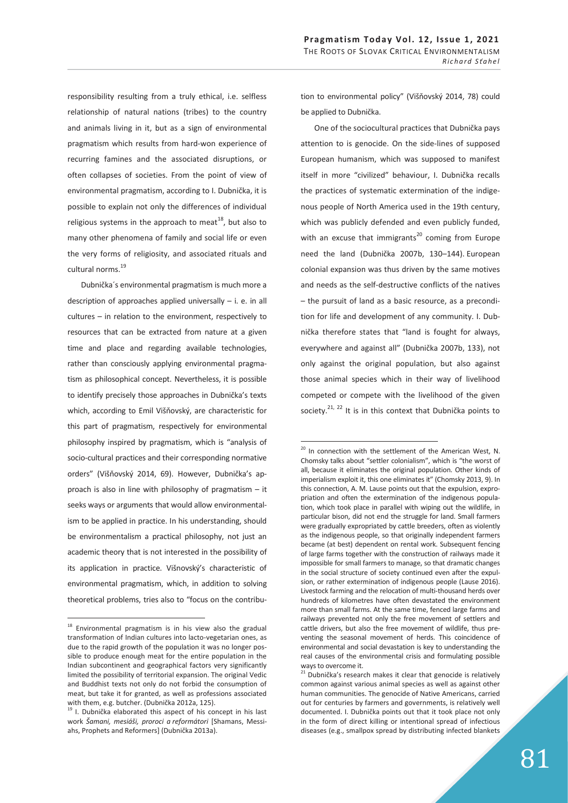responsibility resulting from a truly ethical, i.e. selfless relationship of natural nations (tribes) to the country and animals living in it, but as a sign of environmental pragmatism which results from hard-won experience of recurring famines and the associated disruptions, or often collapses of societies. From the point of view of environmental pragmatism, according to I. Dubnička, it is possible to explain not only the differences of individual religious systems in the approach to meat<sup>18</sup>, but also to many other phenomena of family and social life or even the very forms of religiosity, and associated rituals and cultural norms.<sup>19</sup>

Dubnička´s environmental pragmatism is much more a description of approaches applied universally  $-$  i. e. in all cultures – in relation to the environment, respectively to resources that can be extracted from nature at a given time and place and regarding available technologies, rather than consciously applying environmental pragmatism as philosophical concept. Nevertheless, it is possible to identify precisely those approaches in Dubnička's texts which, according to Emil Višňovský, are characteristic for this part of pragmatism, respectively for environmental philosophy inspired by pragmatism, which is "analysis of socio-cultural practices and their corresponding normative orders" (Višňovský 2014, 69). However, Dubnička's approach is also in line with philosophy of pragmatism – it seeks ways or arguments that would allow environmentalism to be applied in practice. In his understanding, should be environmentalism a practical philosophy, not just an academic theory that is not interested in the possibility of its application in practice. Višnovský's characteristic of environmental pragmatism, which, in addition to solving theoretical problems, tries also to "focus on the contribu-

-

tion to environmental policy" (Višňovský 2014, 78) could be applied to Dubnička.

One of the sociocultural practices that Dubnička pays attention to is genocide. On the side-lines of supposed European humanism, which was supposed to manifest itself in more "civilized" behaviour, I. Dubnička recalls the practices of systematic extermination of the indigenous people of North America used in the 19th century, which was publicly defended and even publicly funded, with an excuse that immigrants<sup>20</sup> coming from Europe need the land (Dubnička 2007b, 130–144). European colonial expansion was thus driven by the same motives and needs as the self-destructive conflicts of the natives – the pursuit of land as a basic resource, as a precondition for life and development of any community. I. Dubnička therefore states that "land is fought for always, everywhere and against all" (Dubnička 2007b, 133), not only against the original population, but also against those animal species which in their way of livelihood competed or compete with the livelihood of the given society.<sup>21, 22</sup> It is in this context that Dubnička points to

 $18$  Environmental pragmatism is in his view also the gradual transformation of Indian cultures into lacto-vegetarian ones, as due to the rapid growth of the population it was no longer possible to produce enough meat for the entire population in the Indian subcontinent and geographical factors very significantly limited the possibility of territorial expansion. The original Vedic and Buddhist texts not only do not forbid the consumption of meat, but take it for granted, as well as professions associated with them, e.g. butcher. (Dubnička 2012a, 125).

<sup>&</sup>lt;sup>19</sup> I. Dubnička elaborated this aspect of his concept in his last work *Šamani, mesiáši, proroci a reformátori* [Shamans, Messiahs, Prophets and Reformers] (Dubnička 2013a).

 $\overline{a}$ <sup>20</sup> In connection with the settlement of the American West, N. Chomsky talks about "settler colonialism", which is "the worst of all, because it eliminates the original population. Other kinds of imperialism exploit it, this one eliminates it" (Chomsky 2013, 9). In this connection, A. M. Lause points out that the expulsion, expropriation and often the extermination of the indigenous population, which took place in parallel with wiping out the wildlife, in particular bison, did not end the struggle for land. Small farmers were gradually expropriated by cattle breeders, often as violently as the indigenous people, so that originally independent farmers became (at best) dependent on rental work. Subsequent fencing of large farms together with the construction of railways made it impossible for small farmers to manage, so that dramatic changes in the social structure of society continued even after the expulsion, or rather extermination of indigenous people (Lause 2016). Livestock farming and the relocation of multi-thousand herds over hundreds of kilometres have often devastated the environment more than small farms. At the same time, fenced large farms and railways prevented not only the free movement of settlers and cattle drivers, but also the free movement of wildlife, thus preventing the seasonal movement of herds. This coincidence of environmental and social devastation is key to understanding the real causes of the environmental crisis and formulating possible ways to overcome it.

 $21$  Dubnička's research makes it clear that genocide is relatively common against various animal species as well as against other human communities. The genocide of Native Americans, carried out for centuries by farmers and governments, is relatively well documented. I. Dubnička points out that it took place not only in the form of direct killing or intentional spread of infectious diseases (e.g., smallpox spread by distributing infected blankets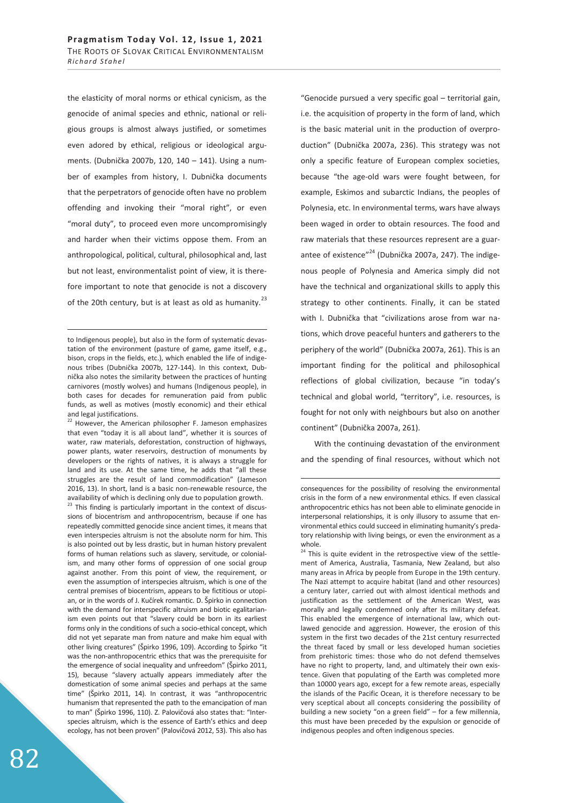the elasticity of moral norms or ethical cynicism, as the genocide of animal species and ethnic, national or religious groups is almost always justified, or sometimes even adored by ethical, religious or ideological arguments. (Dubnička 2007b, 120, 140 – 141). Using a number of examples from history, I. Dubnička documents that the perpetrators of genocide often have no problem offending and invoking their "moral right", or even "moral duty", to proceed even more uncompromisingly and harder when their victims oppose them. From an anthropological, political, cultural, philosophical and, last but not least, environmentalist point of view, it is therefore important to note that genocide is not a discovery of the 20th century, but is at least as old as humanity.<sup>23</sup>

-

 $22$  However, the American philosopher F. Jameson emphasizes that even "today it is all about land", whether it is sources of water, raw materials, deforestation, construction of highways, power plants, water reservoirs, destruction of monuments by developers or the rights of natives, it is always a struggle for land and its use. At the same time, he adds that "all these struggles are the result of land commodification" (Jameson 2016, 13). In short, land is a basic non-renewable resource, the

availability of which is declining only due to population growth.<br><sup>23</sup> This finding is particularly important in the context of discussions of biocentrism and anthropocentrism, because if one has repeatedly committed genocide since ancient times, it means that even interspecies altruism is not the absolute norm for him. This is also pointed out by less drastic, but in human history prevalent forms of human relations such as slavery, servitude, or colonialism, and many other forms of oppression of one social group against another. From this point of view, the requirement, or even the assumption of interspecies altruism, which is one of the central premises of biocentrism, appears to be fictitious or utopian, or in the words of J. Kučírek romantic. D. Špirko in connection with the demand for interspecific altruism and biotic egalitarianism even points out that "slavery could be born in its earliest forms only in the conditions of such a socio-ethical concept, which did not yet separate man from nature and make him equal with other living creatures" (Špirko 1996, 109). According to Špirko "it was the non-anthropocentric ethics that was the prerequisite for the emergence of social inequality and unfreedom" (Špirko 2011, 15), because "slavery actually appears immediately after the domestication of some animal species and perhaps at the same time" (Špirko 2011, 14). In contrast, it was "anthropocentric humanism that represented the path to the emancipation of man to man" (Špirko 1996, 110). Z. Palovičová also states that: "Interspecies altruism, which is the essence of Earth's ethics and deep ecology, has not been proven" (Palovičová 2012, 53). This also has

"Genocide pursued a very specific goal – territorial gain, i.e. the acquisition of property in the form of land, which is the basic material unit in the production of overproduction" (Dubnička 2007a, 236). This strategy was not only a specific feature of European complex societies, because "the age-old wars were fought between, for example, Eskimos and subarctic Indians, the peoples of Polynesia, etc. In environmental terms, wars have always been waged in order to obtain resources. The food and raw materials that these resources represent are a guarantee of existence"<sup>24</sup> (Dubnička 2007a, 247). The indigenous people of Polynesia and America simply did not have the technical and organizational skills to apply this strategy to other continents. Finally, it can be stated with I. Dubnička that "civilizations arose from war nations, which drove peaceful hunters and gatherers to the periphery of the world" (Dubnička 2007a, 261). This is an important finding for the political and philosophical reflections of global civilization, because "in today's technical and global world, "territory", i.e. resources, is fought for not only with neighbours but also on another continent" (Dubnička 2007a, 261).

With the continuing devastation of the environment and the spending of final resources, without which not

 $\overline{a}$ 

to Indigenous people), but also in the form of systematic devastation of the environment (pasture of game, game itself, e.g., bison, crops in the fields, etc.), which enabled the life of indigenous tribes (Dubnička 2007b, 127-144). In this context, Dubnička also notes the similarity between the practices of hunting carnivores (mostly wolves) and humans (Indigenous people), in both cases for decades for remuneration paid from public funds, as well as motives (mostly economic) and their ethical and legal justifications.

consequences for the possibility of resolving the environmental crisis in the form of a new environmental ethics. If even classical anthropocentric ethics has not been able to eliminate genocide in interpersonal relationships, it is only illusory to assume that environmental ethics could succeed in eliminating humanity's predatory relationship with living beings, or even the environment as a whole.

 $24$  This is quite evident in the retrospective view of the settlement of America, Australia, Tasmania, New Zealand, but also many areas in Africa by people from Europe in the 19th century. The Nazi attempt to acquire habitat (land and other resources) a century later, carried out with almost identical methods and justification as the settlement of the American West, was morally and legally condemned only after its military defeat. This enabled the emergence of international law, which outlawed genocide and aggression. However, the erosion of this system in the first two decades of the 21st century resurrected the threat faced by small or less developed human societies from prehistoric times: those who do not defend themselves have no right to property, land, and ultimately their own existence. Given that populating of the Earth was completed more than 10000 years ago, except for a few remote areas, especially the islands of the Pacific Ocean, it is therefore necessary to be very sceptical about all concepts considering the possibility of building a new society "on a green field" – for a few millennia, this must have been preceded by the expulsion or genocide of indigenous peoples and often indigenous species.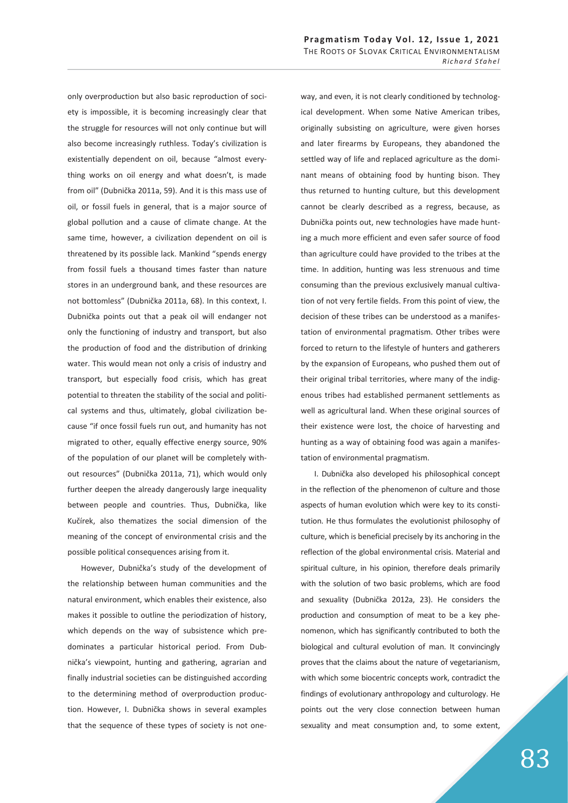only overproduction but also basic reproduction of society is impossible, it is becoming increasingly clear that the struggle for resources will not only continue but will also become increasingly ruthless. Today's civilization is existentially dependent on oil, because "almost everything works on oil energy and what doesn't, is made from oil" (Dubnička 2011a, 59). And it is this mass use of oil, or fossil fuels in general, that is a major source of global pollution and a cause of climate change. At the same time, however, a civilization dependent on oil is threatened by its possible lack. Mankind "spends energy from fossil fuels a thousand times faster than nature stores in an underground bank, and these resources are not bottomless" (Dubnička 2011a, 68). In this context, I. Dubnička points out that a peak oil will endanger not only the functioning of industry and transport, but also the production of food and the distribution of drinking water. This would mean not only a crisis of industry and transport, but especially food crisis, which has great potential to threaten the stability of the social and political systems and thus, ultimately, global civilization because "if once fossil fuels run out, and humanity has not migrated to other, equally effective energy source, 90% of the population of our planet will be completely without resources" (Dubnička 2011a, 71), which would only further deepen the already dangerously large inequality between people and countries. Thus, Dubnička, like Kučírek, also thematizes the social dimension of the meaning of the concept of environmental crisis and the possible political consequences arising from it.

However, Dubnička's study of the development of the relationship between human communities and the natural environment, which enables their existence, also makes it possible to outline the periodization of history, which depends on the way of subsistence which predominates a particular historical period. From Dubnička's viewpoint, hunting and gathering, agrarian and finally industrial societies can be distinguished according to the determining method of overproduction production. However, I. Dubnička shows in several examples that the sequence of these types of society is not oneway, and even, it is not clearly conditioned by technological development. When some Native American tribes, originally subsisting on agriculture, were given horses and later firearms by Europeans, they abandoned the settled way of life and replaced agriculture as the dominant means of obtaining food by hunting bison. They thus returned to hunting culture, but this development cannot be clearly described as a regress, because, as Dubnička points out, new technologies have made hunting a much more efficient and even safer source of food than agriculture could have provided to the tribes at the time. In addition, hunting was less strenuous and time consuming than the previous exclusively manual cultivation of not very fertile fields. From this point of view, the decision of these tribes can be understood as a manifestation of environmental pragmatism. Other tribes were forced to return to the lifestyle of hunters and gatherers by the expansion of Europeans, who pushed them out of their original tribal territories, where many of the indigenous tribes had established permanent settlements as well as agricultural land. When these original sources of their existence were lost, the choice of harvesting and hunting as a way of obtaining food was again a manifestation of environmental pragmatism.

I. Dubnička also developed his philosophical concept in the reflection of the phenomenon of culture and those aspects of human evolution which were key to its constitution. He thus formulates the evolutionist philosophy of culture, which is beneficial precisely by its anchoring in the reflection of the global environmental crisis. Material and spiritual culture, in his opinion, therefore deals primarily with the solution of two basic problems, which are food and sexuality (Dubnička 2012a, 23). He considers the production and consumption of meat to be a key phenomenon, which has significantly contributed to both the biological and cultural evolution of man. It convincingly proves that the claims about the nature of vegetarianism, with which some biocentric concepts work, contradict the findings of evolutionary anthropology and culturology. He points out the very close connection between human sexuality and meat consumption and, to some extent,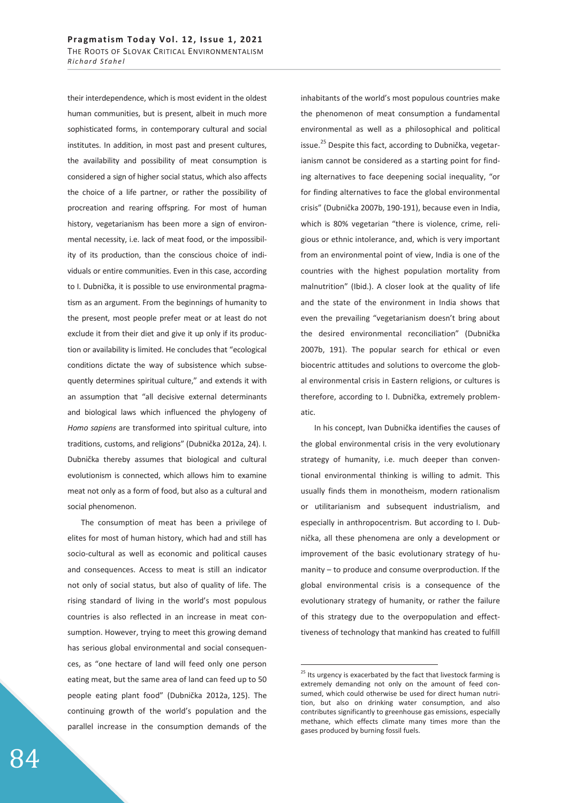their interdependence, which is most evident in the oldest human communities, but is present, albeit in much more sophisticated forms, in contemporary cultural and social institutes. In addition, in most past and present cultures, the availability and possibility of meat consumption is considered a sign of higher social status, which also affects the choice of a life partner, or rather the possibility of procreation and rearing offspring. For most of human history, vegetarianism has been more a sign of environmental necessity, i.e. lack of meat food, or the impossibility of its production, than the conscious choice of individuals or entire communities. Even in this case, according to I. Dubnička, it is possible to use environmental pragmatism as an argument. From the beginnings of humanity to the present, most people prefer meat or at least do not exclude it from their diet and give it up only if its production or availability is limited. He concludes that "ecological conditions dictate the way of subsistence which subsequently determines spiritual culture," and extends it with an assumption that "all decisive external determinants and biological laws which influenced the phylogeny of *Homo sapiens* are transformed into spiritual culture, into traditions, customs, and religions" (Dubnička 2012a, 24). I. Dubnička thereby assumes that biological and cultural evolutionism is connected, which allows him to examine meat not only as a form of food, but also as a cultural and social phenomenon.

The consumption of meat has been a privilege of elites for most of human history, which had and still has socio-cultural as well as economic and political causes and consequences. Access to meat is still an indicator not only of social status, but also of quality of life. The rising standard of living in the world's most populous countries is also reflected in an increase in meat consumption. However, trying to meet this growing demand has serious global environmental and social consequences, as "one hectare of land will feed only one person eating meat, but the same area of land can feed up to 50 people eating plant food" (Dubnička 2012a, 125). The continuing growth of the world's population and the parallel increase in the consumption demands of the

inhabitants of the world's most populous countries make the phenomenon of meat consumption a fundamental environmental as well as a philosophical and political issue.<sup>25</sup> Despite this fact, according to Dubnička, vegetarianism cannot be considered as a starting point for finding alternatives to face deepening social inequality, "or for finding alternatives to face the global environmental crisis" (Dubnička 2007b, 190-191), because even in India, which is 80% vegetarian "there is violence, crime, religious or ethnic intolerance, and, which is very important from an environmental point of view, India is one of the countries with the highest population mortality from malnutrition" (Ibid.). A closer look at the quality of life and the state of the environment in India shows that even the prevailing "vegetarianism doesn't bring about the desired environmental reconciliation" (Dubnička 2007b, 191). The popular search for ethical or even biocentric attitudes and solutions to overcome the global environmental crisis in Eastern religions, or cultures is therefore, according to I. Dubnička, extremely problematic.

In his concept, Ivan Dubnička identifies the causes of the global environmental crisis in the very evolutionary strategy of humanity, i.e. much deeper than conventional environmental thinking is willing to admit. This usually finds them in monotheism, modern rationalism or utilitarianism and subsequent industrialism, and especially in anthropocentrism. But according to I. Dubnička, all these phenomena are only a development or improvement of the basic evolutionary strategy of humanity – to produce and consume overproduction. If the global environmental crisis is a consequence of the evolutionary strategy of humanity, or rather the failure of this strategy due to the overpopulation and effecttiveness of technology that mankind has created to fulfill

 $25$  Its urgency is exacerbated by the fact that livestock farming is extremely demanding not only on the amount of feed consumed, which could otherwise be used for direct human nutrition, but also on drinking water consumption, and also contributes significantly to greenhouse gas emissions, especially methane, which effects climate many times more than the gases produced by burning fossil fuels.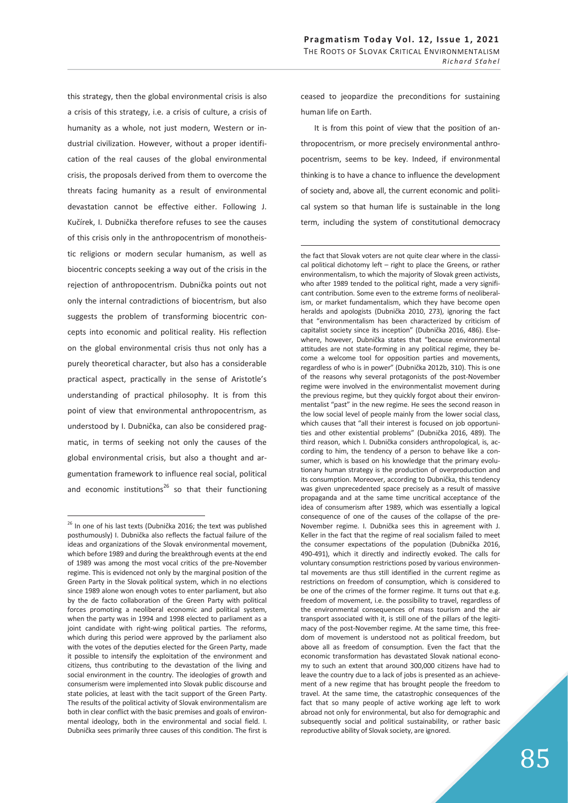this strategy, then the global environmental crisis is also a crisis of this strategy, i.e. a crisis of culture, a crisis of humanity as a whole, not just modern, Western or industrial civilization. However, without a proper identification of the real causes of the global environmental crisis, the proposals derived from them to overcome the threats facing humanity as a result of environmental devastation cannot be effective either. Following J. Kučírek, I. Dubnička therefore refuses to see the causes of this crisis only in the anthropocentrism of monotheistic religions or modern secular humanism, as well as biocentric concepts seeking a way out of the crisis in the rejection of anthropocentrism. Dubnička points out not only the internal contradictions of biocentrism, but also suggests the problem of transforming biocentric concepts into economic and political reality. His reflection on the global environmental crisis thus not only has a purely theoretical character, but also has a considerable practical aspect, practically in the sense of Aristotle's understanding of practical philosophy. It is from this point of view that environmental anthropocentrism, as understood by I. Dubnička, can also be considered pragmatic, in terms of seeking not only the causes of the global environmental crisis, but also a thought and argumentation framework to influence real social, political and economic institutions<sup>26</sup> so that their functioning

-

ceased to jeopardize the preconditions for sustaining human life on Earth.

It is from this point of view that the position of anthropocentrism, or more precisely environmental anthropocentrism, seems to be key. Indeed, if environmental thinking is to have a chance to influence the development of society and, above all, the current economic and political system so that human life is sustainable in the long term, including the system of constitutional democracy

the fact that Slovak voters are not quite clear where in the classical political dichotomy left – right to place the Greens, or rather environmentalism, to which the majority of Slovak green activists, who after 1989 tended to the political right, made a very significant contribution. Some even to the extreme forms of neoliberalism, or market fundamentalism, which they have become open heralds and apologists (Dubnička 2010, 273), ignoring the fact that "environmentalism has been characterized by criticism of capitalist society since its inception" (Dubnička 2016, 486). Elsewhere, however, Dubnička states that "because environmental attitudes are not state-forming in any political regime, they become a welcome tool for opposition parties and movements, regardless of who is in power" (Dubnička 2012b, 310). This is one of the reasons why several protagonists of the post-November regime were involved in the environmentalist movement during the previous regime, but they quickly forgot about their environmentalist "past" in the new regime. He sees the second reason in the low social level of people mainly from the lower social class, which causes that "all their interest is focused on job opportunities and other existential problems" (Dubnička 2016, 489). The third reason, which I. Dubnička considers anthropological, is, according to him, the tendency of a person to behave like a consumer, which is based on his knowledge that the primary evolutionary human strategy is the production of overproduction and its consumption. Moreover, according to Dubnička, this tendency was given unprecedented space precisely as a result of massive propaganda and at the same time uncritical acceptance of the idea of consumerism after 1989, which was essentially a logical consequence of one of the causes of the collapse of the pre-November regime. I. Dubnička sees this in agreement with J. Keller in the fact that the regime of real socialism failed to meet the consumer expectations of the population (Dubnička 2016, 490-491), which it directly and indirectly evoked. The calls for voluntary consumption restrictions posed by various environmental movements are thus still identified in the current regime as restrictions on freedom of consumption, which is considered to be one of the crimes of the former regime. It turns out that e.g. freedom of movement, i.e. the possibility to travel, regardless of the environmental consequences of mass tourism and the air transport associated with it, is still one of the pillars of the legitimacy of the post-November regime. At the same time, this freedom of movement is understood not as political freedom, but above all as freedom of consumption. Even the fact that the economic transformation has devastated Slovak national economy to such an extent that around 300,000 citizens have had to leave the country due to a lack of jobs is presented as an achievement of a new regime that has brought people the freedom to travel. At the same time, the catastrophic consequences of the fact that so many people of active working age left to work abroad not only for environmental, but also for demographic and subsequently social and political sustainability, or rather basic reproductive ability of Slovak society, are ignored.

<sup>&</sup>lt;sup>26</sup> In one of his last texts (Dubnička 2016; the text was published posthumously) I. Dubnička also reflects the factual failure of the ideas and organizations of the Slovak environmental movement, which before 1989 and during the breakthrough events at the end of 1989 was among the most vocal critics of the pre-November regime. This is evidenced not only by the marginal position of the Green Party in the Slovak political system, which in no elections since 1989 alone won enough votes to enter parliament, but also by the de facto collaboration of the Green Party with political forces promoting a neoliberal economic and political system, when the party was in 1994 and 1998 elected to parliament as a joint candidate with right-wing political parties. The reforms, which during this period were approved by the parliament also with the votes of the deputies elected for the Green Party, made it possible to intensify the exploitation of the environment and citizens, thus contributing to the devastation of the living and social environment in the country. The ideologies of growth and consumerism were implemented into Slovak public discourse and state policies, at least with the tacit support of the Green Party. The results of the political activity of Slovak environmentalism are both in clear conflict with the basic premises and goals of environmental ideology, both in the environmental and social field. I. Dubnička sees primarily three causes of this condition. The first is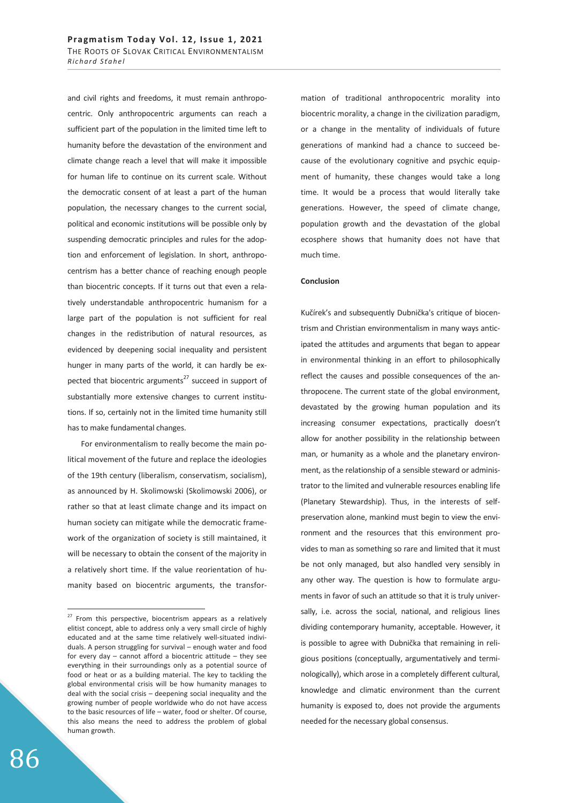and civil rights and freedoms, it must remain anthropocentric. Only anthropocentric arguments can reach a sufficient part of the population in the limited time left to humanity before the devastation of the environment and climate change reach a level that will make it impossible for human life to continue on its current scale. Without the democratic consent of at least a part of the human population, the necessary changes to the current social, political and economic institutions will be possible only by suspending democratic principles and rules for the adoption and enforcement of legislation. In short, anthropocentrism has a better chance of reaching enough people than biocentric concepts. If it turns out that even a relatively understandable anthropocentric humanism for a large part of the population is not sufficient for real changes in the redistribution of natural resources, as evidenced by deepening social inequality and persistent hunger in many parts of the world, it can hardly be expected that biocentric arguments $^{27}$  succeed in support of substantially more extensive changes to current institutions. If so, certainly not in the limited time humanity still has to make fundamental changes.

For environmentalism to really become the main political movement of the future and replace the ideologies of the 19th century (liberalism, conservatism, socialism), as announced by H. Skolimowski (Skolimowski 2006), or rather so that at least climate change and its impact on human society can mitigate while the democratic framework of the organization of society is still maintained, it will be necessary to obtain the consent of the majority in a relatively short time. If the value reorientation of humanity based on biocentric arguments, the transformation of traditional anthropocentric morality into biocentric morality, a change in the civilization paradigm, or a change in the mentality of individuals of future generations of mankind had a chance to succeed because of the evolutionary cognitive and psychic equipment of humanity, these changes would take a long time. It would be a process that would literally take generations. However, the speed of climate change, population growth and the devastation of the global ecosphere shows that humanity does not have that much time.

#### **Conclusion**

Kučírek's and subsequently Dubnička's critique of biocentrism and Christian environmentalism in many ways anticipated the attitudes and arguments that began to appear in environmental thinking in an effort to philosophically reflect the causes and possible consequences of the anthropocene. The current state of the global environment, devastated by the growing human population and its increasing consumer expectations, practically doesn't allow for another possibility in the relationship between man, or humanity as a whole and the planetary environment, as the relationship of a sensible steward or administrator to the limited and vulnerable resources enabling life (Planetary Stewardship). Thus, in the interests of selfpreservation alone, mankind must begin to view the environment and the resources that this environment provides to man as something so rare and limited that it must be not only managed, but also handled very sensibly in any other way. The question is how to formulate arguments in favor of such an attitude so that it is truly universally, i.e. across the social, national, and religious lines dividing contemporary humanity, acceptable. However, it is possible to agree with Dubnička that remaining in religious positions (conceptually, argumentatively and terminologically), which arose in a completely different cultural, knowledge and climatic environment than the current humanity is exposed to, does not provide the arguments needed for the necessary global consensus.

 $27$  From this perspective, biocentrism appears as a relatively elitist concept, able to address only a very small circle of highly educated and at the same time relatively well-situated individuals. A person struggling for survival – enough water and food for every day – cannot afford a biocentric attitude – they see everything in their surroundings only as a potential source of food or heat or as a building material. The key to tackling the global environmental crisis will be how humanity manages to deal with the social crisis – deepening social inequality and the growing number of people worldwide who do not have access to the basic resources of life – water, food or shelter. Of course, this also means the need to address the problem of global human growth.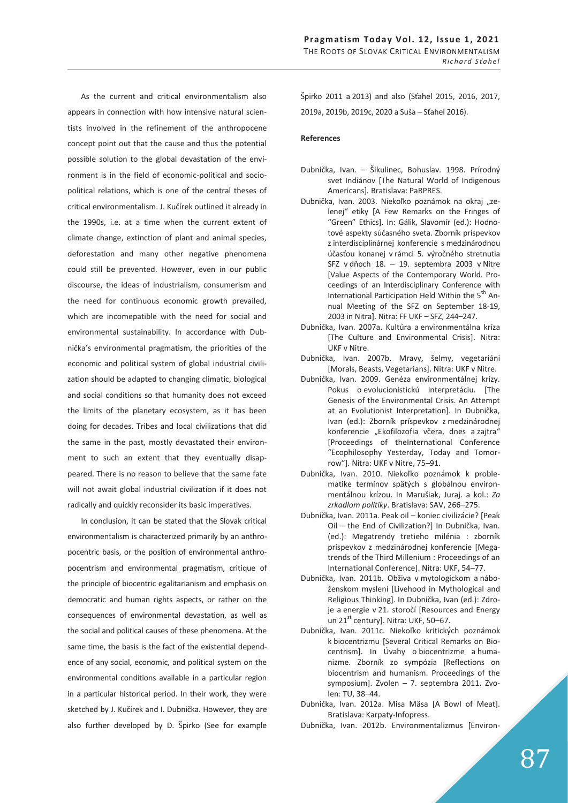As the current and critical environmentalism also appears in connection with how intensive natural scientists involved in the refinement of the anthropocene concept point out that the cause and thus the potential possible solution to the global devastation of the environment is in the field of economic-political and sociopolitical relations, which is one of the central theses of critical environmentalism. J. Kučírek outlined it already in the 1990s, i.e. at a time when the current extent of climate change, extinction of plant and animal species, deforestation and many other negative phenomena could still be prevented. However, even in our public discourse, the ideas of industrialism, consumerism and the need for continuous economic growth prevailed, which are incomepatible with the need for social and environmental sustainability. In accordance with Dubnička's environmental pragmatism, the priorities of the economic and political system of global industrial civilization should be adapted to changing climatic, biological and social conditions so that humanity does not exceed the limits of the planetary ecosystem, as it has been doing for decades. Tribes and local civilizations that did the same in the past, mostly devastated their environment to such an extent that they eventually disappeared. There is no reason to believe that the same fate will not await global industrial civilization if it does not

In conclusion, it can be stated that the Slovak critical environmentalism is characterized primarily by an anthropocentric basis, or the position of environmental anthropocentrism and environmental pragmatism, critique of the principle of biocentric egalitarianism and emphasis on democratic and human rights aspects, or rather on the consequences of environmental devastation, as well as the social and political causes of these phenomena. At the same time, the basis is the fact of the existential dependence of any social, economic, and political system on the environmental conditions available in a particular region in a particular historical period. In their work, they were sketched by J. Kučírek and I. Dubnička. However, they are also further developed by D. Špirko (See for example

radically and quickly reconsider its basic imperatives.

Špirko 2011 a 2013) and also (Sťahel 2015, 2016, 2017, 2019a, 2019b, 2019c, 2020 a Suša – Sťahel 2016).

## **References**

- Dubnička, Ivan. Šikulinec, Bohuslav. 1998. Prírodný svet Indiánov [The Natural World of Indigenous Americans]*.* Bratislava: PaRPRES.
- Dubnička, Ivan. 2003. Niekoľko poznámok na okraj "zelenej" etiky [A Few Remarks on the Fringes of "Green" Ethics]. In: Gálik, Slavomír (ed.): Hodnotové aspekty súčasného sveta. Zborník príspevkov z interdisciplinárnej konferencie s medzinárodnou účasťou konanej v rámci 5. výročného stretnutia SFZ v dňoch 18. – 19. septembra 2003 v Nitre [Value Aspects of the Contemporary World. Proceedings of an Interdisciplinary Conference with International Participation Held Within the  $5<sup>th</sup>$  Annual Meeting of the SFZ on September 18-19, 2003 in Nitra]. Nitra: FF UKF – SFZ, 244–247.
- Dubnička, Ivan. 2007a. Kultúra a environmentálna kríza [The Culture and Environmental Crisis]. Nitra: UKF v Nitre.
- Dubnička, Ivan. 2007b. Mravy, šelmy, vegetariáni [Morals, Beasts, Vegetarians]. Nitra: UKF v Nitre.
- Dubnička, Ivan. 2009. Genéza environmentálnej krízy. Pokus o evolucionistickú interpretáciu. [The Genesis of the Environmental Crisis. An Attempt at an Evolutionist Interpretation]. In Dubnička, Ivan (ed.): Zborník príspevkov z medzinárodnej konferencie "Ekofilozofia včera, dnes a zajtra" [Proceedings of theInternational Conference "Ecophilosophy Yesterday, Today and Tomorrow"]*.* Nitra: UKF v Nitre, 75–91.
- Dubnička, Ivan. 2010. Niekoľko poznámok k problematike termínov spätých s globálnou environmentálnou krízou. In Marušiak, Juraj. a kol.: *Za zrkadlom politiky*. Bratislava: SAV, 266–275.
- Dubnička, Ivan. 2011a. Peak oil koniec civilizácie? [Peak Oil – the End of Civilization?] In Dubnička, Ivan. (ed.): Megatrendy tretieho milénia : zborník príspevkov z medzinárodnej konferencie [Megatrends of the Third Millenium : Proceedings of an International Conference]. Nitra: UKF, 54–77.
- Dubnička, Ivan. 2011b. Obživa v mytologickom a náboženskom myslení [Livehood in Mythological and Religious Thinking]. In Dubnička, Ivan (ed.): Zdroje a energie v 21. storočí [Resources and Energy un  $21^{st}$  century]. Nitra: UKF, 50-67.
- Dubnička, Ivan. 2011c. Niekoľko kritických poznámok k biocentrizmu [Several Critical Remarks on Biocentrism]. In Úvahy o biocentrizme a humanizme. Zborník zo sympózia [Reflections on biocentrism and humanism. Proceedings of the symposium]. Zvolen – 7. septembra 2011. Zvolen: TU, 38–44.
- Dubnička, Ivan. 2012a. Misa Mäsa [A Bowl of Meat]. Bratislava: Karpaty-Infopress.
- Dubnička, Ivan. 2012b. Environmentalizmus [Environ-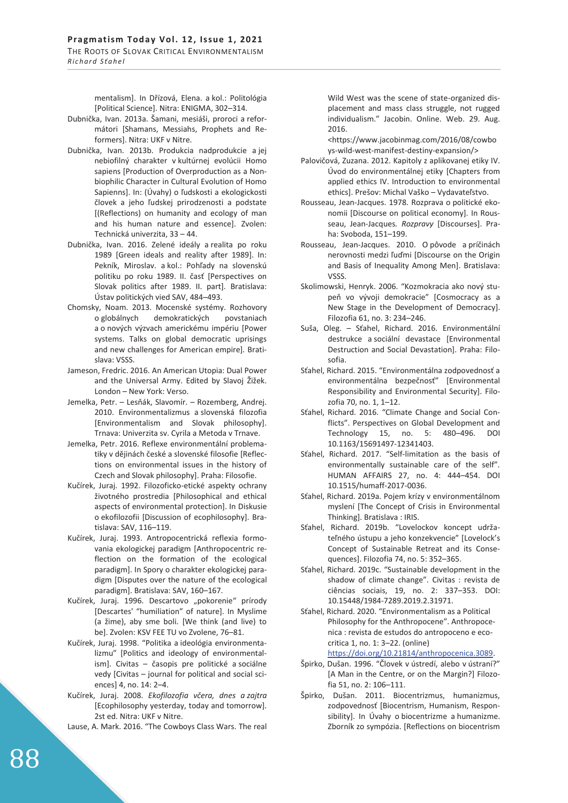mentalism]. In Dřízová, Elena. a kol.: Politológia [Political Science]. Nitra: ENIGMA, 302–314.

- Dubnička, Ivan. 2013a. Šamani, mesiáši, proroci a reformátori [Shamans, Messiahs, Prophets and Reformers]. Nitra: UKF v Nitre.
- Dubnička, Ivan. 2013b. Produkcia nadprodukcie a jej nebiofilný charakter v kultúrnej evolúcii Homo sapiens [Production of Overproduction as a Nonbiophilic Character in Cultural Evolution of Homo Sapienns]. In: (Úvahy) o ľudskosti a ekologickosti človek a jeho ľudskej prirodzenosti a podstate [(Reflections) on humanity and ecology of man and his human nature and essence]. Zvolen: Technická univerzita, 33 – 44.
- Dubnička, Ivan. 2016. Zelené ideály a realita po roku 1989 [Green ideals and reality after 1989]. In: Pekník, Miroslav. a kol.: Pohľady na slovenskú politiku po roku 1989. II. časť [Perspectives on Slovak politics after 1989. II. part]. Bratislava: Ústav politických vied SAV, 484–493.
- Chomsky, Noam. 2013. Mocenské systémy. Rozhovory o globálnych demokratických povstaniach a o nových výzvach americkému impériu [Power systems. Talks on global democratic uprisings and new challenges for American empire]*.* Bratislava: VSSS.
- Jameson, Fredric. 2016. An American Utopia: Dual Power and the Universal Army. Edited by Slavoj Žižek. London – New York: Verso.
- Jemelka, Petr. Lesňák, Slavomír. Rozemberg, Andrej. 2010. Environmentalizmus a slovenská filozofia [Environmentalism and Slovak philosophy]. Trnava: Univerzita sv. Cyrila a Metoda v Trnave.
- Jemelka, Petr. 2016. Reflexe environmentální problematiky v dějinách české a slovenské filosofie [Reflections on environmental issues in the history of Czech and Slovak philosophy]. Praha: Filosofie.
- Kučírek, Juraj. 1992. Filozoficko-etické aspekty ochrany životného prostredia [Philosophical and ethical aspects of environmental protection]. In Diskusie o ekofilozofii [Discussion of ecophilosophy]. Bratislava: SAV, 116–119.
- Kučírek, Juraj. 1993. Antropocentrická reflexia formovania ekologickej paradigm [Anthropocentric reflection on the formation of the ecological paradigm]. In Spory o charakter ekologickej paradigm [Disputes over the nature of the ecological paradigm]. Bratislava: SAV, 160–167.
- Kučírek, Juraj. 1996. Descartovo "pokorenie" prírody [Descartes' "humiliation" of nature]. In Myslime (a žime), aby sme boli. [We think (and live) to be]. Zvolen: KSV FEE TU vo Zvolene, 76–81.
- Kučírek, Juraj. 1998. "Politika a ideológia environmentalizmu" [Politics and ideology of environmentalism]. Civitas – časopis pre politické a sociálne vedy [Civitas – journal for political and social sciences] 4, no. 14: 2–4.
- Kučírek, Juraj. 2008. *Ekofilozofia včera, dnes a zajtra* [Ecophilosophy yesterday, today and tomorrow]. 2st ed. Nitra: UKF v Nitre.

Lause, A. Mark. 2016. "The Cowboys Class Wars. The real

Wild West was the scene of state-organized displacement and mass class struggle, not rugged individualism." Jacobin. Online. Web. 29. Aug. 2016.

<https://www.jacobinmag.com/2016/08/cowbo ys-wild-west-manifest-destiny-expansion/>

- Palovičová, Zuzana. 2012. Kapitoly z aplikovanej etiky IV. Úvod do environmentálnej etiky [Chapters from applied ethics IV. Introduction to environmental ethics]. Prešov: Michal Vaško – Vydavateľstvo.
- Rousseau, Jean-Jacques. 1978. Rozprava o politické ekonomii [Discourse on political economy]. In Rousseau, Jean-Jacques*. Rozpravy* [Discourses]. Praha: Svoboda, 151–199.
- Rousseau, Jean-Jacques. 2010. O pôvode a príčinách nerovnosti medzi ľuďmi [Discourse on the Origin and Basis of Inequality Among Men]. Bratislava: VSSS.
- Skolimowski, Henryk. 2006. "Kozmokracia ako nový stupeň vo vývoji demokracie" [Cosmocracy as a New Stage in the Development of Democracy]. Filozofia 61, no. 3: 234–246.
- Suša, Oleg. Sťahel, Richard. 2016. Environmentální destrukce a sociální devastace [Environmental Destruction and Social Devastation]. Praha: Filosofia.
- Sťahel, Richard. 2015. "Environmentálna zodpovednosť a environmentálna bezpečnosť" [Environmental Responsibility and Environmental Security]. Filozofia 70, no. 1, 1–12.
- Sťahel, Richard. 2016. "Climate Change and Social Conflicts". Perspectives on Global Development and Technology 15, no. 5: 480–496. DOI 10.1163/15691497-12341403.
- Sťahel, Richard. 2017. "Self-limitation as the basis of environmentally sustainable care of the self". HUMAN AFFAIRS 27, no. 4: 444–454. DOI 10.1515/humaff-2017-0036.
- Sťahel, Richard. 2019a. Pojem krízy v environmentálnom myslení [The Concept of Crisis in Environmental Thinking]. Bratislava : IRIS.
- Sťahel, Richard. 2019b. "Lovelockov koncept udržateľného ústupu a jeho konzekvencie" [Lovelock՚s Concept of Sustainable Retreat and its Consequences]. Filozofia 74, no. 5: 352–365.
- Sťahel, Richard. 2019c. "Sustainable development in the shadow of climate change". Civitas : revista de ciências sociais, 19, no. 2: 337–353. DOI: 10.15448/1984-7289.2019.2.31971.
- Sťahel, Richard. 2020. "Environmentalism as a Political Philosophy for the Anthropocene". Anthropocenica : revista de estudos do antropoceno e ecocritica 1, no. 1: 3–22. (online)
- https://doi.org/10.21814/anthropocenica.3089.
- Špirko, Dušan. 1996. "Človek v ústredí, alebo v ústraní?" [A Man in the Centre, or on the Margin?] Filozofia 51, no. 2: 106–111.
- Špirko, Dušan. 2011. Biocentrizmus, humanizmus, zodpovednosť [Biocentrism, Humanism, Responsibility]. In Úvahy o biocentrizme a humanizme. Zborník zo sympózia. [Reflections on biocentrism